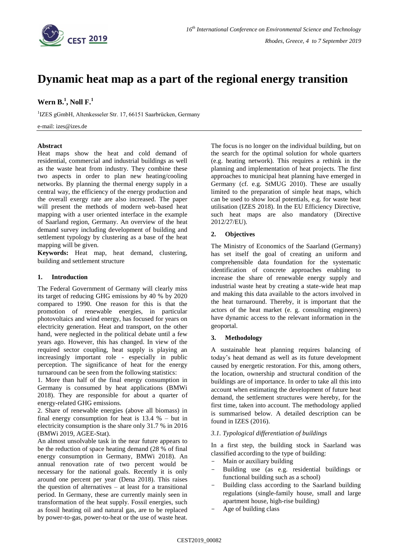

# **Dynamic heat map as a part of the regional energy transition**

# **Wern B. 1 , Noll F. 1**

<sup>1</sup>IZES gGmbH, Altenkesseler Str. 17, 66151 Saarbrücken, Germany

e-mail: izes@izes.de

#### **Abstract**

Heat maps show the heat and cold demand of residential, commercial and industrial buildings as well as the waste heat from industry. They combine these two aspects in order to plan new heating/cooling networks. By planning the thermal energy supply in a central way, the efficiency of the energy production and the overall exergy rate are also increased. The paper will present the methods of modern web-based heat mapping with a user oriented interface in the example of Saarland region, Germany. An overview of the heat demand survey including development of building and settlement typology by clustering as a base of the heat mapping will be given.

**Keywords:** Heat map, heat demand, clustering, building and settlement structure

# **1. Introduction**

The Federal Government of Germany will clearly miss its target of reducing GHG emissions by 40 % by 2020 compared to 1990. One reason for this is that the promotion of renewable energies, in particular photovoltaics and wind energy, has focused for years on electricity generation. Heat and transport, on the other hand, were neglected in the political debate until a few years ago. However, this has changed. In view of the required sector coupling, heat supply is playing an increasingly important role - especially in public perception. The significance of heat for the energy turnaround can be seen from the following statistics:

1. More than half of the final energy consumption in Germany is consumed by heat applications (BMWi 2018). They are responsible for about a quarter of energy-related GHG emissions.

2. Share of renewable energies (above all biomass) in final energy consumption for heat is  $13.4 \%$  – but in electricity consumption is the share only 31.7 % in 2016 (BMWi 2019, AGEE-Stat).

An almost unsolvable task in the near future appears to be the reduction of space heating demand (28 % of final energy consumption in Germany, BMWi 2018). An annual renovation rate of two percent would be necessary for the national goals. Recently it is only around one percent per year (Dena 2018). This raises the question of alternatives – at least for a transitional period. In Germany, these are currently mainly seen in transformation of the heat supply. Fossil energies, such as fossil heating oil and natural gas, are to be replaced by power-to-gas, power-to-heat or the use of waste heat. The focus is no longer on the individual building, but on the search for the optimal solution for whole quarters (e.g. heating network). This requires a rethink in the planning and implementation of heat projects. The first approaches to municipal heat planning have emerged in Germany (cf. e.g. StMUG 2010). These are usually limited to the preparation of simple heat maps, which can be used to show local potentials, e.g. for waste heat utilisation (IZES 2018). In the EU Efficiency Directive, such heat maps are also mandatory (Directive 2012/27/EU).

## **2. Objectives**

The Ministry of Economics of the Saarland (Germany) has set itself the goal of creating an uniform and comprehensible data foundation for the systematic identification of concrete approaches enabling to increase the share of renewable energy supply and industrial waste heat by creating a state-wide heat map and making this data available to the actors involved in the heat turnaround. Thereby, it is important that the actors of the heat market (e. g. consulting engineers) have dynamic access to the relevant information in the geoportal.

## **3. Methodology**

A sustainable heat planning requires balancing of today's heat demand as well as its future development caused by energetic restoration. For this, among others, the location, ownership and structural condition of the buildings are of importance. In order to take all this into account when estimating the development of future heat demand, the settlement structures were hereby, for the first time, taken into account. The methodology applied is summarised below. A detailed description can be found in IZES (2016).

#### *3.1. Typological differentiation of buildings*

In a first step, the building stock in Saarland was classified according to the type of building:

- Main or auxiliary building
- Building use (as e.g. residential buildings or functional building such as a school)
- Building class according to the Saarland building regulations (single-family house, small and large apartment house, high-rise building)
- Age of building class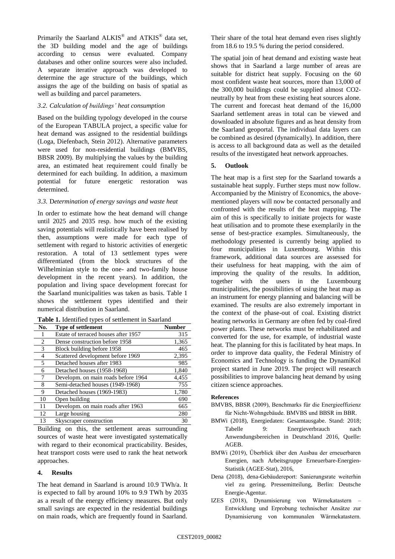Primarily the Saarland ALKIS<sup>®</sup> and ATKIS<sup>®</sup> data set, the 3D building model and the age of buildings according to census were evaluated. Company databases and other online sources were also included. A separate iterative approach was developed to determine the age structure of the buildings, which assigns the age of the building on basis of spatial as well as building and parcel parameters.

# *3.2. Calculation of buildings' heat consumption*

Based on the building typology developed in the course of the European TABULA project, a specific value for heat demand was assigned to the residential buildings (Loga, Diefenbach, Stein 2012). Alternative parameters were used for non-residential buildings (BMVBS, BBSR 2009). By multiplying the values by the building area, an estimated heat requirement could finally be determined for each building. In addition, a maximum potential for future energetic restoration was determined.

# *3.3.* D*etermination of energy savings and waste heat*

In order to estimate how the heat demand will change until 2025 and 2035 resp. how much of the existing saving potentials will realistically have been realised by then, assumptions were made for each type of settlement with regard to historic activities of energetic restoration. A total of 13 settlement types were differentiated (from the block structures of the Wilhelminian style to the one- and two-family house development in the recent years). In addition, the population and living space development forecast for the Saarland municipalities was taken as basis. Table 1 shows the settlement types identified and their numerical distribution in Saarland.

**Table 1.** Identified types of settlement in Saarland

| No. | <b>Type of settlement</b>            | <b>Number</b> |
|-----|--------------------------------------|---------------|
|     | Estate of terraced houses after 1957 | 315           |
| 2   | Dense construction before 1958       | 1,365         |
| 3   | Block building before 1958           | 465           |
| 4   | Scattered development before 1969    | 2,395         |
| 5   | Detached houses after 1983           | 985           |
| 6   | Detached houses (1958-1968)          | 1,840         |
| 7   | Developm. on main roads before 1964  | 4,455         |
| 8   | Semi-detached houses (1949-1968)     | 755           |
| 9   | Detached houses (1969-1983)          | 1,780         |
| 10  | Open building                        | 690           |
| 11  | Developm. on main roads after 1963   | 665           |
| 12  | Large housing                        | 280           |
| 13  | Skyscraper construction              | 30            |

Building on this, the settlement areas surrounding sources of waste heat were investigated systematically with regard to their economical practicability. Besides, heat transport costs were used to rank the heat network approaches.

# **4. Results**

The heat demand in Saarland is around 10.9 TWh/a. It is expected to fall by around 10% to 9.9 TWh by 2035 as a result of the energy efficiency measures. But only small savings are expected in the residential buildings on main roads, which are frequently found in Saarland.

Their share of the total heat demand even rises slightly from 18.6 to 19.5 % during the period considered.

The spatial join of heat demand and existing waste heat shows that in Saarland a large number of areas are suitable for district heat supply. Focusing on the 60 most confident waste heat sources, more than 13,000 of the 300,000 buildings could be supplied almost CO2 neutrally by heat from these existing heat sources alone. The current and forecast heat demand of the 16,000 Saarland settlement areas in total can be viewed and downloaded in absolute figures and as heat density from the Saarland geoportal. The individual data layers can be combined as desired (dynamically). In addition, there is access to all background data as well as the detailed results of the investigated heat network approaches.

# **5. Outlook**

The heat map is a first step for the Saarland towards a sustainable heat supply. Further steps must now follow. Accompanied by the Ministry of Economics, the abovementioned players will now be contacted personally and confronted with the results of the heat mapping. The aim of this is specifically to initiate projects for waste heat utilisation and to promote these exemplarily in the sense of best-practice examples. Simultaneously, the methodology presented is currently being applied to four municipalities in Luxembourg. Within this framework, additional data sources are assessed for their usefulness for heat mapping, with the aim of improving the quality of the results. In addition, together with the users in the Luxembourg municipalities, the possibilities of using the heat map as an instrument for energy planning and balancing will be examined. The results are also extremely important in the context of the phase-out of coal. Existing district heating networks in Germany are often fed by coal-fired power plants. These networks must be rehabilitated and converted for the use, for example, of industrial waste heat. The planning for this is facilitated by heat maps. In order to improve data quality, the Federal Ministry of Economics and Technology is funding the DynamiKol project started in June 2019. The project will research possibilities to improve balancing heat demand by using citizen science approaches.

## **References**

- BMVBS, BBSR (2009), Benchmarks für die Energieeffizienz für Nicht-Wohngebäude. BMVBS und BBSR im BBR.
- BMWi (2018), Energiedaten: Gesamtausgabe. Stand: 2018; Tabelle 9: Energieverbrauch nach Anwendungsbereichen in Deutschland 2016, Quelle: AGEB.
- BMWi (2019), Überblick über den Ausbau der erneuerbaren Energien, nach Arbeitsgruppe Erneuerbare-Energien-Statistik (AGEE-Stat), 2016,
- Dena (2018), dena-Gebäudereport: Sanierungsrate weiterhin viel zu gering. Pressemitteilung, Berlin: Deutsche Energie-Agentur.
- IZES (2018), Dynamisierung von Wärmekatastern Entwicklung und Erprobung technischer Ansätze zur Dynamisierung von kommunalen Wärmekatastern.